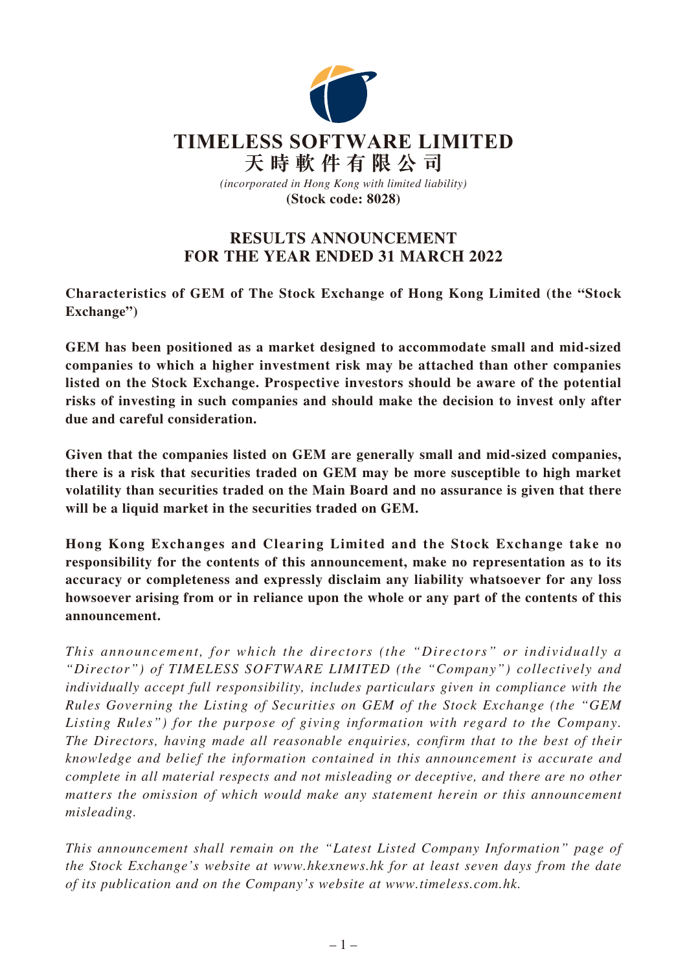

# **RESULTS ANNOUNCEMENT FOR THE YEAR ENDED 31 MARCH 2022**

**Characteristics of GEM of The Stock Exchange of Hong Kong Limited (the "Stock Exchange")**

**GEM has been positioned as a market designed to accommodate small and mid-sized companies to which a higher investment risk may be attached than other companies listed on the Stock Exchange. Prospective investors should be aware of the potential risks of investing in such companies and should make the decision to invest only after due and careful consideration.**

**Given that the companies listed on GEM are generally small and mid-sized companies, there is a risk that securities traded on GEM may be more susceptible to high market volatility than securities traded on the Main Board and no assurance is given that there will be a liquid market in the securities traded on GEM.**

**Hong Kong Exchanges and Clearing Limited and the Stock Exchange take no responsibility for the contents of this announcement, make no representation as to its accuracy or completeness and expressly disclaim any liability whatsoever for any loss howsoever arising from or in reliance upon the whole or any part of the contents of this announcement.**

*This announcement, for which the directors (the "Directors" or individually a "Director") of TIMELESS SOFTWARE LIMITED (the "Company") collectively and individually accept full responsibility, includes particulars given in compliance with the Rules Governing the Listing of Securities on GEM of the Stock Exchange (the "GEM Listing Rules") for the purpose of giving information with regard to the Company. The Directors, having made all reasonable enquiries, confirm that to the best of their knowledge and belief the information contained in this announcement is accurate and complete in all material respects and not misleading or deceptive, and there are no other matters the omission of which would make any statement herein or this announcement misleading.*

*This announcement shall remain on the "Latest Listed Company Information" page of the Stock Exchange's website at www.hkexnews.hk for at least seven days from the date of its publication and on the Company's website at www.timeless.com.hk.*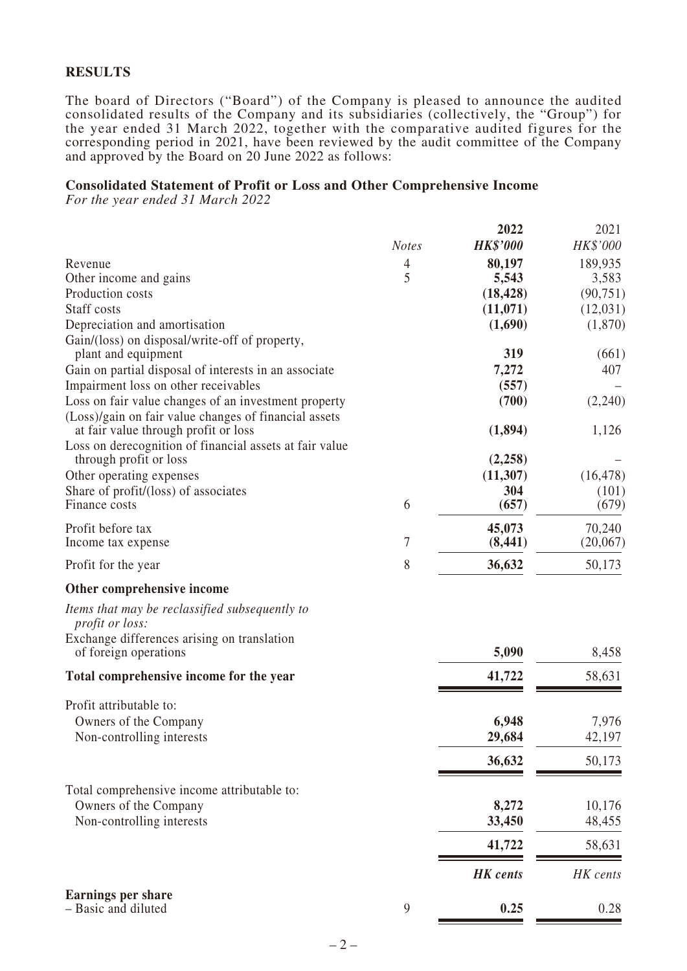## **RESULTS**

The board of Directors ("Board") of the Company is pleased to announce the audited consolidated results of the Company and its subsidiaries (collectively, the "Group") for the year ended 31 March 2022, together with the comparative audited figures for the corresponding period in 2021, have been reviewed by the audit committee of the Company and approved by the Board on 20 June 2022 as follows:

### **Consolidated Statement of Profit or Loss and Other Comprehensive Income**

*For the year ended 31 March 2022*

|                                                                                               | <b>Notes</b> | 2022<br><b>HK\$'000</b> | 2021<br>HK\$'000 |
|-----------------------------------------------------------------------------------------------|--------------|-------------------------|------------------|
| Revenue                                                                                       | 4            | 80,197                  | 189,935          |
| Other income and gains                                                                        | 5            | 5,543                   | 3,583            |
| Production costs                                                                              |              | (18, 428)               | (90, 751)        |
| Staff costs                                                                                   |              | (11,071)                | (12,031)         |
| Depreciation and amortisation                                                                 |              | (1,690)                 | (1,870)          |
| Gain/(loss) on disposal/write-off of property,                                                |              |                         |                  |
| plant and equipment                                                                           |              | 319                     | (661)            |
| Gain on partial disposal of interests in an associate                                         |              | 7,272                   | 407              |
| Impairment loss on other receivables                                                          |              | (557)                   |                  |
| Loss on fair value changes of an investment property                                          |              | (700)                   | (2,240)          |
| (Loss)/gain on fair value changes of financial assets<br>at fair value through profit or loss |              | (1,894)                 | 1,126            |
| Loss on derecognition of financial assets at fair value                                       |              |                         |                  |
| through profit or loss                                                                        |              | (2,258)                 |                  |
| Other operating expenses                                                                      |              | (11, 307)               | (16, 478)        |
| Share of profit/(loss) of associates                                                          |              | 304                     | (101)            |
| Finance costs                                                                                 | 6            | (657)                   | (679)            |
| Profit before tax                                                                             |              | 45,073                  | 70,240           |
| Income tax expense                                                                            | 7            | (8, 441)                | (20,067)         |
| Profit for the year                                                                           | 8            | 36,632                  | 50,173           |
| Other comprehensive income                                                                    |              |                         |                  |
| Items that may be reclassified subsequently to<br><i>profit or loss:</i>                      |              |                         |                  |
| Exchange differences arising on translation                                                   |              |                         |                  |
| of foreign operations                                                                         |              | 5,090                   | 8,458            |
| Total comprehensive income for the year                                                       |              | 41,722                  | 58,631           |
| Profit attributable to:                                                                       |              |                         |                  |
| Owners of the Company                                                                         |              | 6,948                   | 7,976            |
| Non-controlling interests                                                                     |              | 29,684                  | 42,197           |
|                                                                                               |              | 36,632                  | 50,173           |
|                                                                                               |              |                         |                  |
| Total comprehensive income attributable to:                                                   |              |                         |                  |
| Owners of the Company                                                                         |              | 8,272                   | 10,176           |
| Non-controlling interests                                                                     |              | 33,450                  | 48,455           |
|                                                                                               |              | 41,722                  | 58,631           |
|                                                                                               |              | <b>HK</b> cents         | HK cents         |
| <b>Earnings per share</b>                                                                     |              |                         |                  |
| - Basic and diluted                                                                           | 9            | 0.25                    | 0.28             |

 $-2-$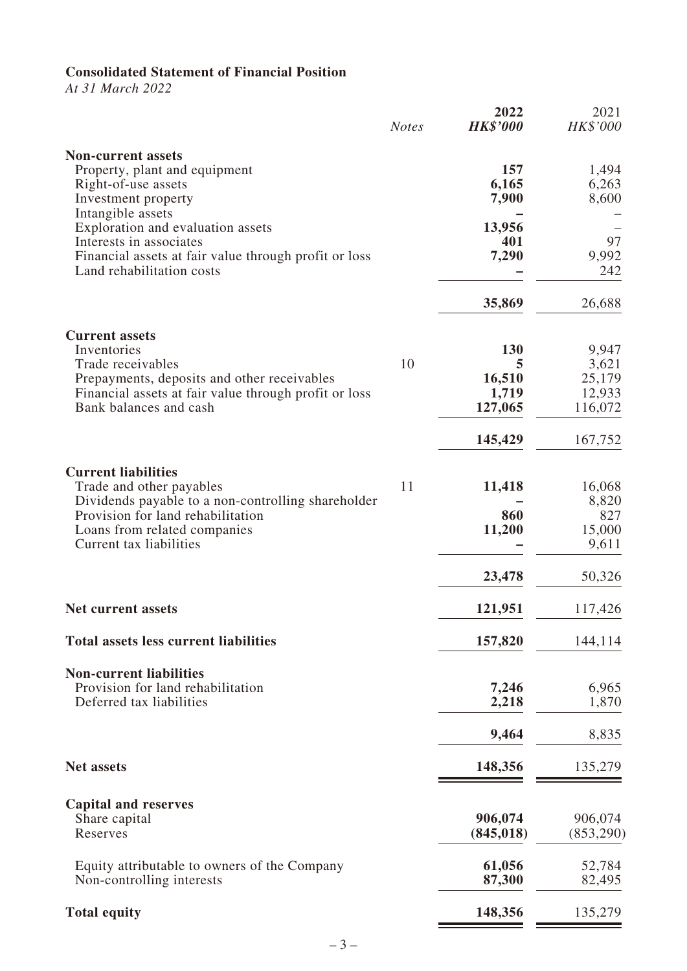# **Consolidated Statement of Financial Position**

*At 31 March 2022*

|                                                                                                                                                                                                              | <b>Notes</b> | 2022<br><b>HK\$'000</b>                | 2021<br>HK\$'000                              |
|--------------------------------------------------------------------------------------------------------------------------------------------------------------------------------------------------------------|--------------|----------------------------------------|-----------------------------------------------|
| <b>Non-current assets</b><br>Property, plant and equipment<br>Right-of-use assets<br>Investment property                                                                                                     |              | 157<br>6,165<br>7,900                  | 1,494<br>6,263<br>8,600                       |
| Intangible assets<br>Exploration and evaluation assets<br>Interests in associates<br>Financial assets at fair value through profit or loss<br>Land rehabilitation costs                                      |              | 13,956<br>401<br>7,290                 | 97<br>9,992<br>242                            |
|                                                                                                                                                                                                              |              | 35,869                                 | 26,688                                        |
| <b>Current assets</b><br>Inventories<br>Trade receivables<br>Prepayments, deposits and other receivables<br>Financial assets at fair value through profit or loss<br>Bank balances and cash                  | 10           | 130<br>5<br>16,510<br>1,719<br>127,065 | 9,947<br>3,621<br>25,179<br>12,933<br>116,072 |
|                                                                                                                                                                                                              |              | 145,429                                | 167,752                                       |
| <b>Current liabilities</b><br>Trade and other payables<br>Dividends payable to a non-controlling shareholder<br>Provision for land rehabilitation<br>Loans from related companies<br>Current tax liabilities | 11           | 11,418<br>860<br>11,200                | 16,068<br>8,820<br>827<br>15,000<br>9,611     |
|                                                                                                                                                                                                              |              | 23,478                                 | 50,326                                        |
| <b>Net current assets</b>                                                                                                                                                                                    |              | 121,951                                | 117,426                                       |
| <b>Total assets less current liabilities</b>                                                                                                                                                                 |              | 157,820                                | 144,114                                       |
| <b>Non-current liabilities</b><br>Provision for land rehabilitation<br>Deferred tax liabilities                                                                                                              |              | 7,246<br>2,218                         | 6,965<br>1,870                                |
|                                                                                                                                                                                                              |              | 9,464                                  | 8,835                                         |
| <b>Net assets</b>                                                                                                                                                                                            |              | 148,356                                | 135,279                                       |
| <b>Capital and reserves</b><br>Share capital<br>Reserves                                                                                                                                                     |              | 906,074<br>(845, 018)                  | 906,074<br>(853,290)                          |
| Equity attributable to owners of the Company<br>Non-controlling interests                                                                                                                                    |              | 61,056<br>87,300                       | 52,784<br>82,495                              |
| <b>Total equity</b>                                                                                                                                                                                          |              | 148,356                                | 135,279                                       |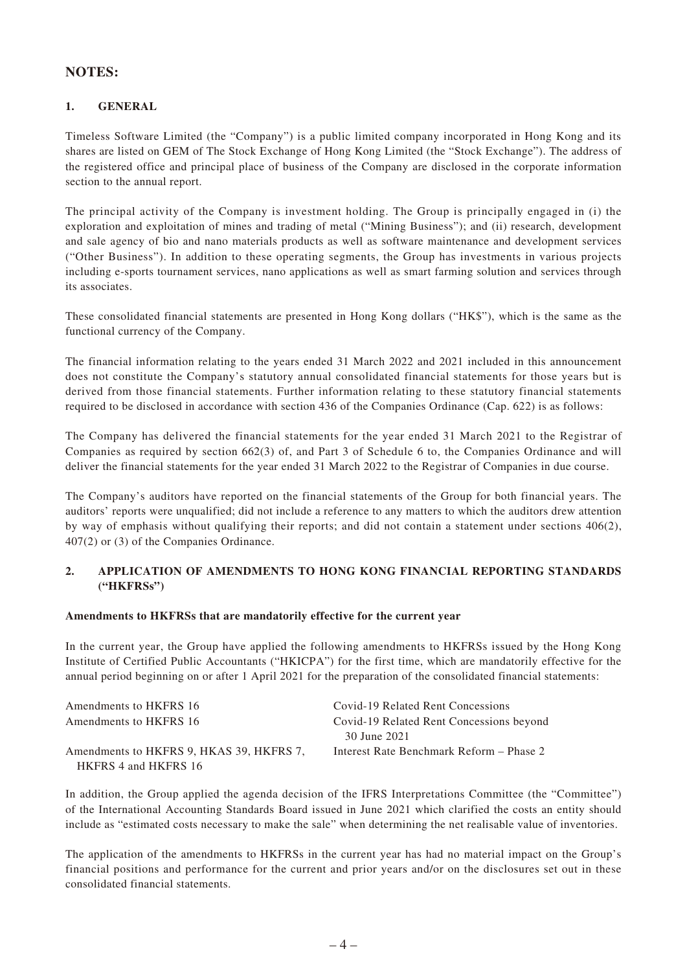## **NOTES:**

### **1. GENERAL**

Timeless Software Limited (the "Company") is a public limited company incorporated in Hong Kong and its shares are listed on GEM of The Stock Exchange of Hong Kong Limited (the "Stock Exchange"). The address of the registered office and principal place of business of the Company are disclosed in the corporate information section to the annual report.

The principal activity of the Company is investment holding. The Group is principally engaged in (i) the exploration and exploitation of mines and trading of metal ("Mining Business"); and (ii) research, development and sale agency of bio and nano materials products as well as software maintenance and development services ("Other Business"). In addition to these operating segments, the Group has investments in various projects including e-sports tournament services, nano applications as well as smart farming solution and services through its associates.

These consolidated financial statements are presented in Hong Kong dollars ("HK\$"), which is the same as the functional currency of the Company.

The financial information relating to the years ended 31 March 2022 and 2021 included in this announcement does not constitute the Company's statutory annual consolidated financial statements for those years but is derived from those financial statements. Further information relating to these statutory financial statements required to be disclosed in accordance with section 436 of the Companies Ordinance (Cap. 622) is as follows:

The Company has delivered the financial statements for the year ended 31 March 2021 to the Registrar of Companies as required by section 662(3) of, and Part 3 of Schedule 6 to, the Companies Ordinance and will deliver the financial statements for the year ended 31 March 2022 to the Registrar of Companies in due course.

The Company's auditors have reported on the financial statements of the Group for both financial years. The auditors' reports were unqualified; did not include a reference to any matters to which the auditors drew attention by way of emphasis without qualifying their reports; and did not contain a statement under sections 406(2), 407(2) or (3) of the Companies Ordinance.

### **2. APPLICATION OF AMENDMENTS TO HONG KONG FINANCIAL REPORTING STANDARDS ("HKFRSs")**

### **Amendments to HKFRSs that are mandatorily effective for the current year**

In the current year, the Group have applied the following amendments to HKFRSs issued by the Hong Kong Institute of Certified Public Accountants ("HKICPA") for the first time, which are mandatorily effective for the annual period beginning on or after 1 April 2021 for the preparation of the consolidated financial statements:

| Amendments to HKFRS 16                   | Covid-19 Related Rent Concessions        |
|------------------------------------------|------------------------------------------|
| Amendments to HKFRS 16                   | Covid-19 Related Rent Concessions beyond |
|                                          | 30 June 2021                             |
| Amendments to HKFRS 9, HKAS 39, HKFRS 7, | Interest Rate Benchmark Reform – Phase 2 |
| HKFRS 4 and HKFRS 16                     |                                          |

In addition, the Group applied the agenda decision of the IFRS Interpretations Committee (the "Committee") of the International Accounting Standards Board issued in June 2021 which clarified the costs an entity should include as "estimated costs necessary to make the sale" when determining the net realisable value of inventories.

The application of the amendments to HKFRSs in the current year has had no material impact on the Group's financial positions and performance for the current and prior years and/or on the disclosures set out in these consolidated financial statements.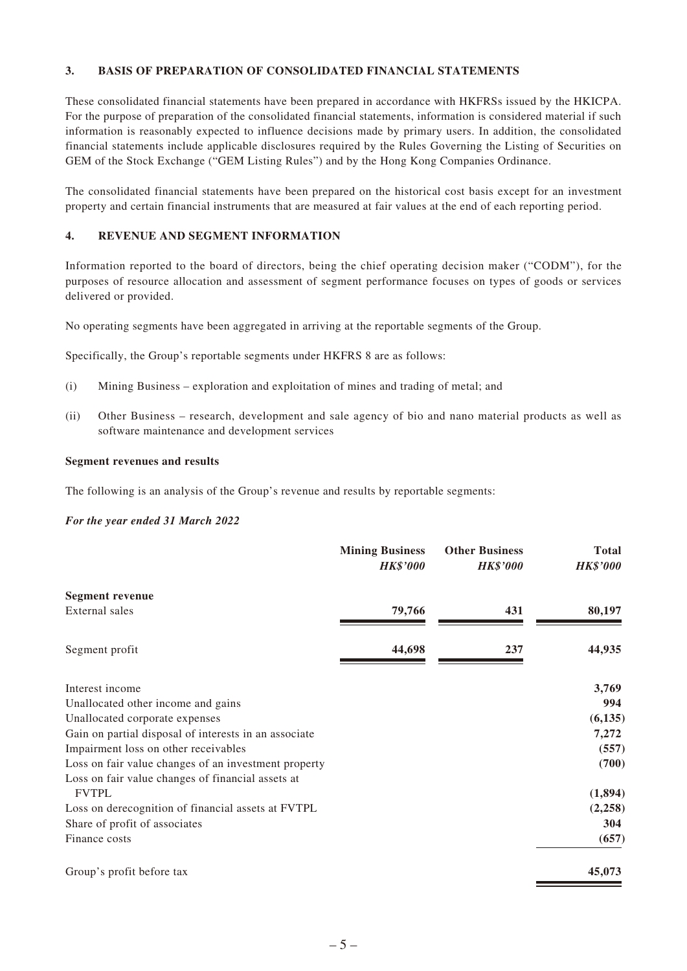### **3. BASIS OF PREPARATION OF CONSOLIDATED FINANCIAL STATEMENTS**

These consolidated financial statements have been prepared in accordance with HKFRSs issued by the HKICPA. For the purpose of preparation of the consolidated financial statements, information is considered material if such information is reasonably expected to influence decisions made by primary users. In addition, the consolidated financial statements include applicable disclosures required by the Rules Governing the Listing of Securities on GEM of the Stock Exchange ("GEM Listing Rules") and by the Hong Kong Companies Ordinance.

The consolidated financial statements have been prepared on the historical cost basis except for an investment property and certain financial instruments that are measured at fair values at the end of each reporting period.

### **4. REVENUE AND SEGMENT INFORMATION**

Information reported to the board of directors, being the chief operating decision maker ("CODM"), for the purposes of resource allocation and assessment of segment performance focuses on types of goods or services delivered or provided.

No operating segments have been aggregated in arriving at the reportable segments of the Group.

Specifically, the Group's reportable segments under HKFRS 8 are as follows:

- (i) Mining Business exploration and exploitation of mines and trading of metal; and
- (ii) Other Business research, development and sale agency of bio and nano material products as well as software maintenance and development services

#### **Segment revenues and results**

The following is an analysis of the Group's revenue and results by reportable segments:

#### *For the year ended 31 March 2022*

|                                                       | <b>Mining Business</b><br><b>HK\$'000</b> | <b>Other Business</b><br><b>HK\$'000</b> | <b>Total</b><br><b>HK\$'000</b> |
|-------------------------------------------------------|-------------------------------------------|------------------------------------------|---------------------------------|
| <b>Segment revenue</b>                                |                                           |                                          |                                 |
| External sales                                        | 79,766                                    | 431                                      | 80,197                          |
| Segment profit                                        | 44,698                                    | 237                                      | 44,935                          |
| Interest income                                       |                                           |                                          | 3,769                           |
| Unallocated other income and gains                    |                                           |                                          | 994                             |
| Unallocated corporate expenses                        |                                           |                                          | (6, 135)                        |
| Gain on partial disposal of interests in an associate |                                           |                                          | 7,272                           |
| Impairment loss on other receivables                  |                                           |                                          | (557)                           |
| Loss on fair value changes of an investment property  |                                           |                                          | (700)                           |
| Loss on fair value changes of financial assets at     |                                           |                                          |                                 |
| <b>FVTPL</b>                                          |                                           |                                          | (1,894)                         |
| Loss on derecognition of financial assets at FVTPL    |                                           |                                          | (2,258)                         |
| Share of profit of associates                         |                                           |                                          | 304                             |
| Finance costs                                         |                                           |                                          | (657)                           |
| Group's profit before tax                             |                                           |                                          | 45,073                          |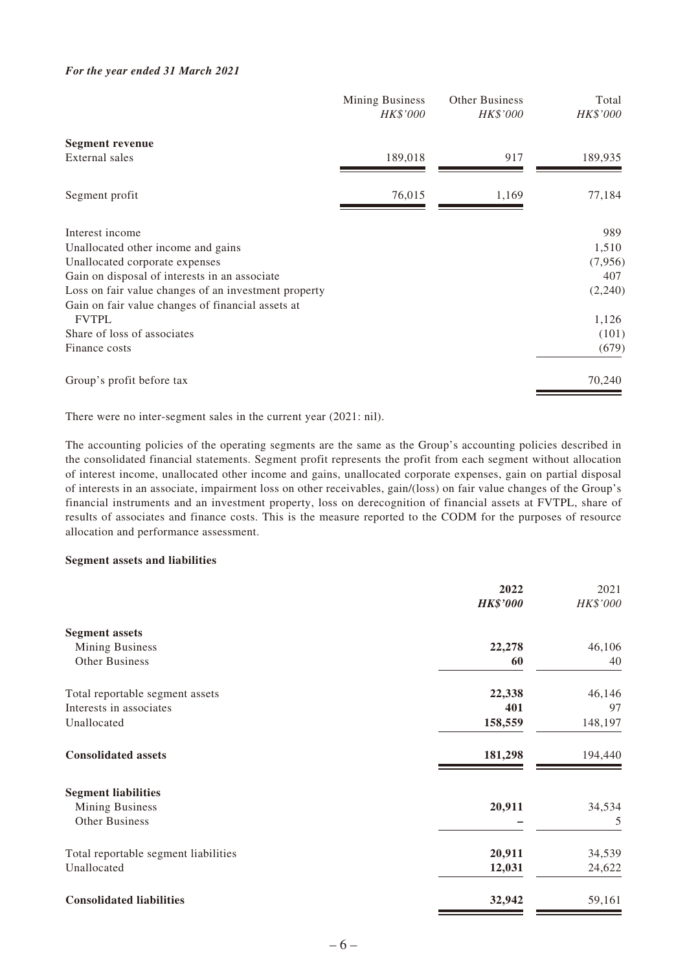#### *For the year ended 31 March 2021*

|                                                      | Mining Business<br>HK\$'000 | <b>Other Business</b><br>HK\$'000 | Total<br>HK\$'000 |
|------------------------------------------------------|-----------------------------|-----------------------------------|-------------------|
| <b>Segment revenue</b>                               |                             |                                   |                   |
| External sales                                       | 189,018                     | 917                               | 189,935           |
| Segment profit                                       | 76,015                      | 1,169                             | 77,184            |
| Interest income                                      |                             |                                   | 989               |
| Unallocated other income and gains                   |                             |                                   | 1,510             |
| Unallocated corporate expenses                       |                             |                                   | (7,956)           |
| Gain on disposal of interests in an associate        |                             |                                   | 407               |
| Loss on fair value changes of an investment property |                             |                                   | (2,240)           |
| Gain on fair value changes of financial assets at    |                             |                                   |                   |
| <b>FVTPL</b>                                         |                             |                                   | 1,126             |
| Share of loss of associates                          |                             |                                   | (101)             |
| Finance costs                                        |                             |                                   | (679)             |
| Group's profit before tax                            |                             |                                   | 70,240            |

There were no inter-segment sales in the current year (2021: nil).

The accounting policies of the operating segments are the same as the Group's accounting policies described in the consolidated financial statements. Segment profit represents the profit from each segment without allocation of interest income, unallocated other income and gains, unallocated corporate expenses, gain on partial disposal of interests in an associate, impairment loss on other receivables, gain/(loss) on fair value changes of the Group's financial instruments and an investment property, loss on derecognition of financial assets at FVTPL, share of results of associates and finance costs. This is the measure reported to the CODM for the purposes of resource allocation and performance assessment.

### **Segment assets and liabilities**

|                                      | 2022<br><b>HK\$'000</b> | 2021<br>HK\$'000 |
|--------------------------------------|-------------------------|------------------|
|                                      |                         |                  |
| <b>Segment assets</b>                |                         |                  |
| <b>Mining Business</b>               | 22,278                  | 46,106           |
| Other Business                       | 60                      | 40               |
| Total reportable segment assets      | 22,338                  | 46,146           |
| Interests in associates              | 401                     | 97               |
| Unallocated                          | 158,559                 | 148,197          |
| <b>Consolidated assets</b>           | 181,298                 | 194,440          |
| <b>Segment liabilities</b>           |                         |                  |
| <b>Mining Business</b>               | 20,911                  | 34,534           |
| <b>Other Business</b>                |                         | 5                |
| Total reportable segment liabilities | 20,911                  | 34,539           |
| Unallocated                          | 12,031                  | 24,622           |
| <b>Consolidated liabilities</b>      | 32,942                  | 59,161           |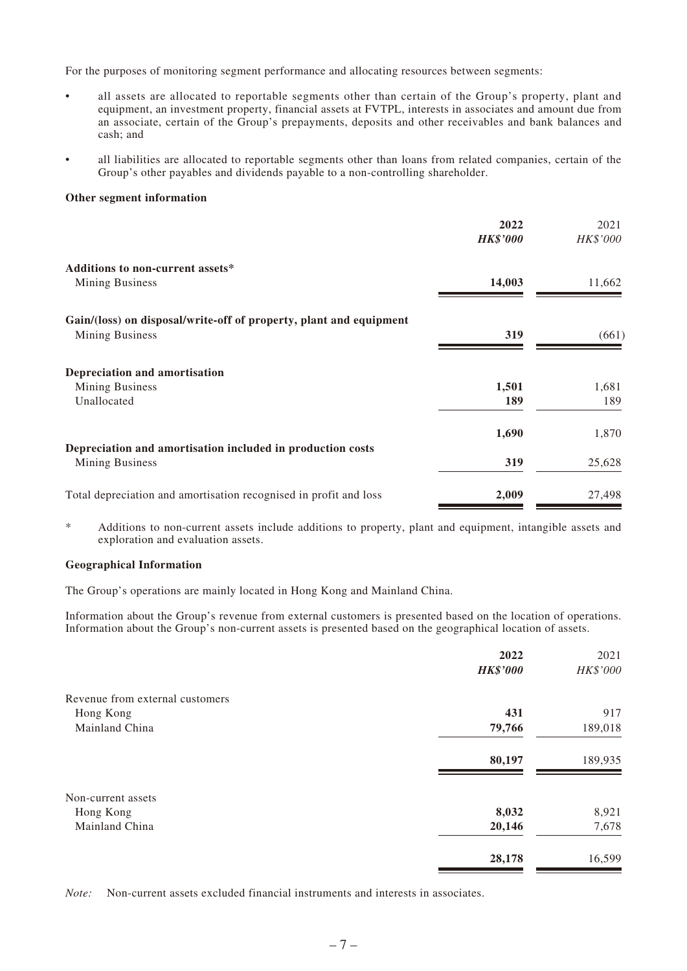For the purposes of monitoring segment performance and allocating resources between segments:

- all assets are allocated to reportable segments other than certain of the Group's property, plant and equipment, an investment property, financial assets at FVTPL, interests in associates and amount due from an associate, certain of the Group's prepayments, deposits and other receivables and bank balances and cash; and
- all liabilities are allocated to reportable segments other than loans from related companies, certain of the Group's other payables and dividends payable to a non-controlling shareholder.

#### **Other segment information**

|                                                                    | 2022<br><b>HK\$'000</b> | 2021<br>HK\$'000 |
|--------------------------------------------------------------------|-------------------------|------------------|
| Additions to non-current assets*                                   |                         |                  |
| <b>Mining Business</b>                                             | 14,003                  | 11,662           |
| Gain/(loss) on disposal/write-off of property, plant and equipment |                         |                  |
| <b>Mining Business</b>                                             | 319                     | (661)            |
| Depreciation and amortisation                                      |                         |                  |
| <b>Mining Business</b>                                             | 1,501                   | 1,681            |
| Unallocated                                                        | 189                     | 189              |
|                                                                    | 1,690                   | 1,870            |
| Depreciation and amortisation included in production costs         |                         |                  |
| <b>Mining Business</b>                                             | 319                     | 25,628           |
| Total depreciation and amortisation recognised in profit and loss  | 2,009                   | 27,498           |

\* Additions to non-current assets include additions to property, plant and equipment, intangible assets and exploration and evaluation assets.

#### **Geographical Information**

The Group's operations are mainly located in Hong Kong and Mainland China.

Information about the Group's revenue from external customers is presented based on the location of operations. Information about the Group's non-current assets is presented based on the geographical location of assets.

|                                 | 2022            | 2021     |
|---------------------------------|-----------------|----------|
|                                 | <b>HK\$'000</b> | HK\$'000 |
| Revenue from external customers |                 |          |
| Hong Kong                       | 431             | 917      |
| Mainland China                  | 79,766          | 189,018  |
|                                 | 80,197          | 189,935  |
| Non-current assets              |                 |          |
| Hong Kong                       | 8,032           | 8,921    |
| Mainland China                  | 20,146          | 7,678    |
|                                 | 28,178          | 16,599   |

*Note:* Non-current assets excluded financial instruments and interests in associates.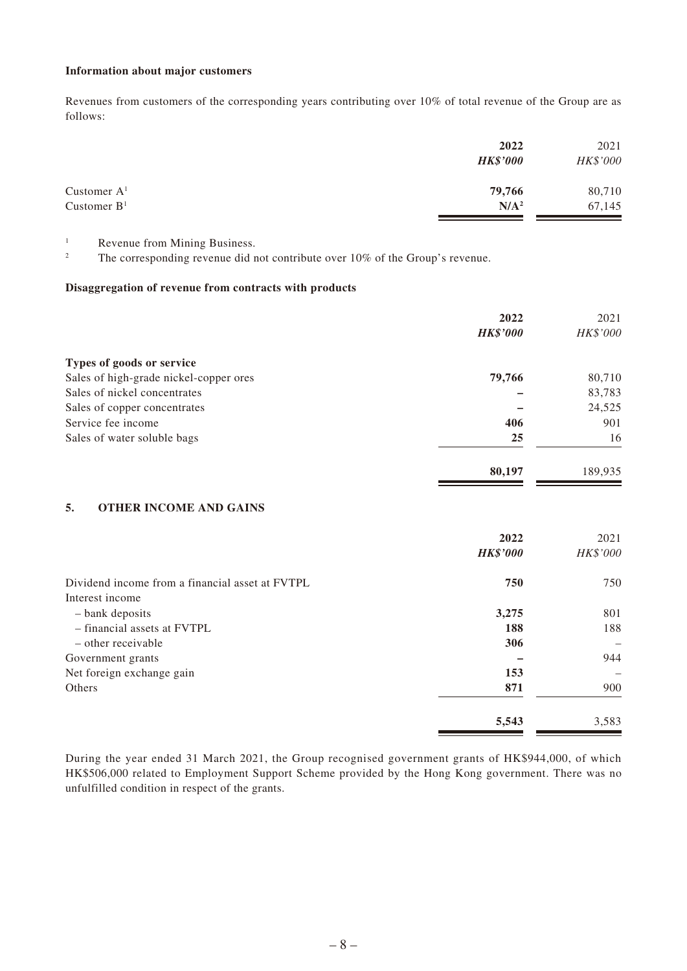#### **Information about major customers**

Revenues from customers of the corresponding years contributing over 10% of total revenue of the Group are as follows:

| 2022             | 2021     |
|------------------|----------|
| <b>HK\$'000</b>  | HK\$'000 |
| 79,766           | 80,710   |
| N/A <sup>2</sup> | 67,145   |
|                  |          |

<sup>1</sup> Revenue from Mining Business.

<sup>2</sup> The corresponding revenue did not contribute over 10% of the Group's revenue.

### **Disaggregation of revenue from contracts with products**

|                                        | 2022            | 2021     |
|----------------------------------------|-----------------|----------|
|                                        | <b>HK\$'000</b> | HK\$'000 |
| Types of goods or service              |                 |          |
| Sales of high-grade nickel-copper ores | 79,766          | 80,710   |
| Sales of nickel concentrates           |                 | 83,783   |
| Sales of copper concentrates           |                 | 24,525   |
| Service fee income                     | 406             | 901      |
| Sales of water soluble bags            | 25              | 16       |
|                                        | 80,197          | 189,935  |

### **5. OTHER INCOME AND GAINS**

|                                                 | 2022<br><b>HK\$'000</b> | 2021<br>HK\$'000 |
|-------------------------------------------------|-------------------------|------------------|
| Dividend income from a financial asset at FVTPL | 750                     | 750              |
| Interest income                                 |                         |                  |
| - bank deposits                                 | 3,275                   | 801              |
| - financial assets at FVTPL                     | 188                     | 188              |
| - other receivable                              | 306                     |                  |
| Government grants                               |                         | 944              |
| Net foreign exchange gain                       | 153                     | -                |
| Others                                          | 871                     | 900              |
|                                                 | 5,543                   | 3,583            |

During the year ended 31 March 2021, the Group recognised government grants of HK\$944,000, of which HK\$506,000 related to Employment Support Scheme provided by the Hong Kong government. There was no unfulfilled condition in respect of the grants.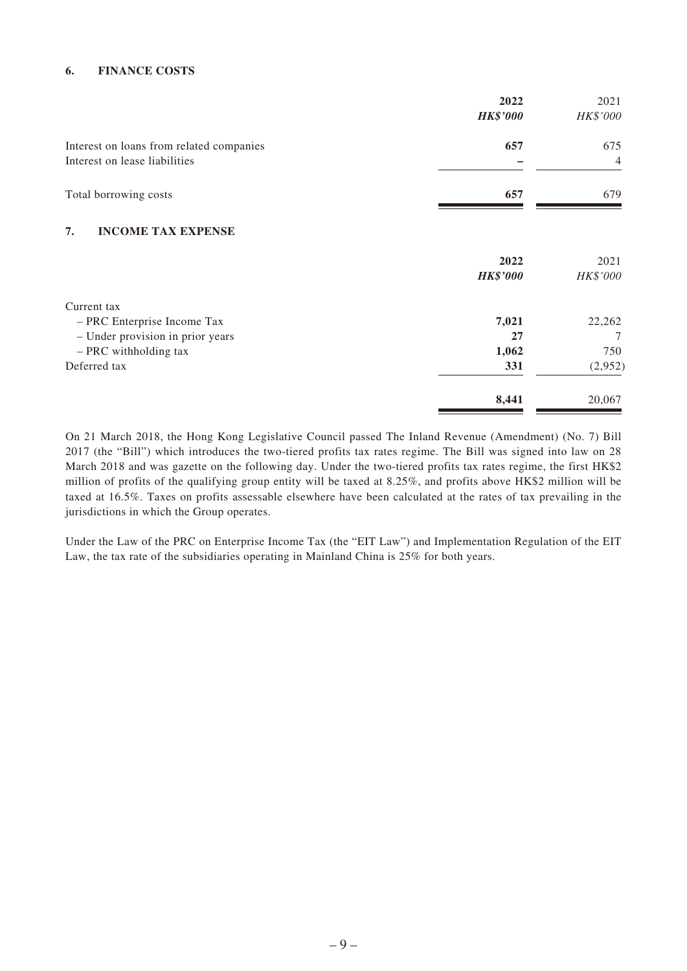### **6. FINANCE COSTS**

|                                          | 2022<br><b>HK\$'000</b> | 2021<br>HK\$'000 |
|------------------------------------------|-------------------------|------------------|
| Interest on loans from related companies | 657                     | 675              |
| Interest on lease liabilities            |                         | 4                |
| Total borrowing costs                    | 657                     | 679              |
| <b>INCOME TAX EXPENSE</b><br>7.          |                         |                  |
|                                          | 2022                    | 2021             |
|                                          | <b>HK\$'000</b>         | HK\$'000         |
| Current tax                              |                         |                  |
| - PRC Enterprise Income Tax              | 7,021                   | 22,262           |
| - Under provision in prior years         | 27                      | 7                |
| - PRC withholding tax                    | 1,062                   | 750              |
| Deferred tax                             | 331                     | (2,952)          |
|                                          | 8,441                   | 20,067           |

On 21 March 2018, the Hong Kong Legislative Council passed The Inland Revenue (Amendment) (No. 7) Bill 2017 (the "Bill") which introduces the two-tiered profits tax rates regime. The Bill was signed into law on 28 March 2018 and was gazette on the following day. Under the two-tiered profits tax rates regime, the first HK\$2 million of profits of the qualifying group entity will be taxed at 8.25%, and profits above HK\$2 million will be taxed at 16.5%. Taxes on profits assessable elsewhere have been calculated at the rates of tax prevailing in the jurisdictions in which the Group operates.

Under the Law of the PRC on Enterprise Income Tax (the "EIT Law") and Implementation Regulation of the EIT Law, the tax rate of the subsidiaries operating in Mainland China is 25% for both years.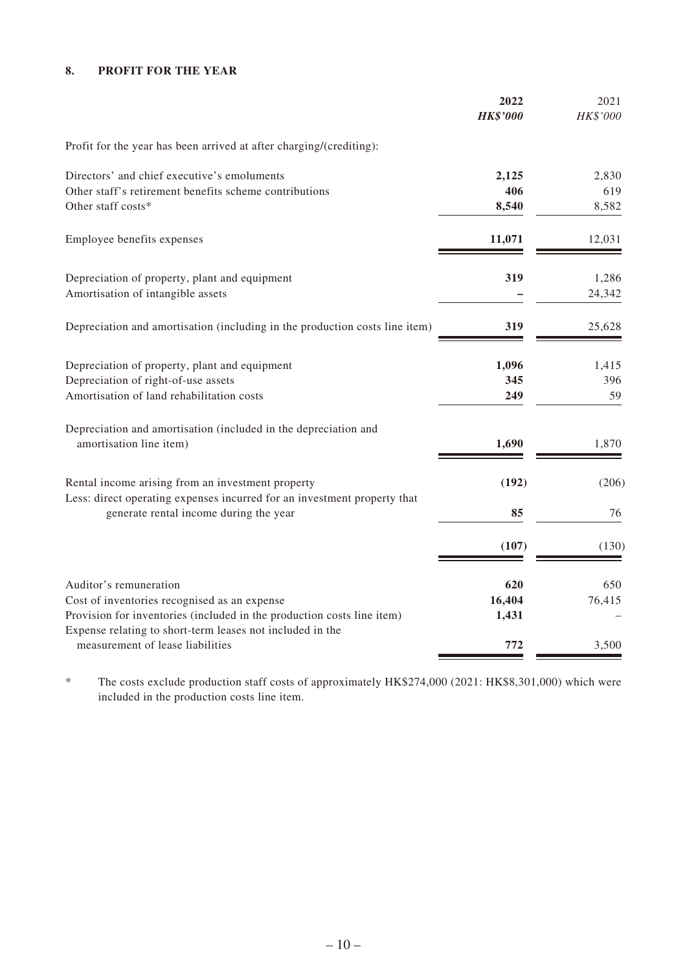# **8. PROFIT FOR THE YEAR**

|                                                                                                                    | 2022<br><b>HK\$'000</b> | 2021<br>HK\$'000 |
|--------------------------------------------------------------------------------------------------------------------|-------------------------|------------------|
| Profit for the year has been arrived at after charging/(crediting):                                                |                         |                  |
| Directors' and chief executive's emoluments                                                                        | 2,125                   | 2,830            |
| Other staff's retirement benefits scheme contributions                                                             | 406                     | 619              |
| Other staff costs*                                                                                                 | 8,540                   | 8,582            |
| Employee benefits expenses                                                                                         | 11,071                  | 12,031           |
| Depreciation of property, plant and equipment                                                                      | 319                     | 1,286            |
| Amortisation of intangible assets                                                                                  |                         | 24,342           |
| Depreciation and amortisation (including in the production costs line item)                                        | 319                     | 25,628           |
| Depreciation of property, plant and equipment                                                                      | 1,096                   | 1,415            |
| Depreciation of right-of-use assets                                                                                | 345                     | 396              |
| Amortisation of land rehabilitation costs                                                                          | 249                     | 59               |
| Depreciation and amortisation (included in the depreciation and                                                    |                         |                  |
| amortisation line item)                                                                                            | 1,690                   | 1,870            |
| Rental income arising from an investment property                                                                  | (192)                   | (206)            |
| Less: direct operating expenses incurred for an investment property that<br>generate rental income during the year | 85                      | 76               |
|                                                                                                                    | (107)                   | (130)            |
| Auditor's remuneration                                                                                             | 620                     | 650              |
| Cost of inventories recognised as an expense                                                                       | 16,404                  | 76,415           |
| Provision for inventories (included in the production costs line item)                                             | 1,431                   |                  |
| Expense relating to short-term leases not included in the<br>measurement of lease liabilities                      | 772                     | 3,500            |

\* The costs exclude production staff costs of approximately HK\$274,000 (2021: HK\$8,301,000) which were included in the production costs line item.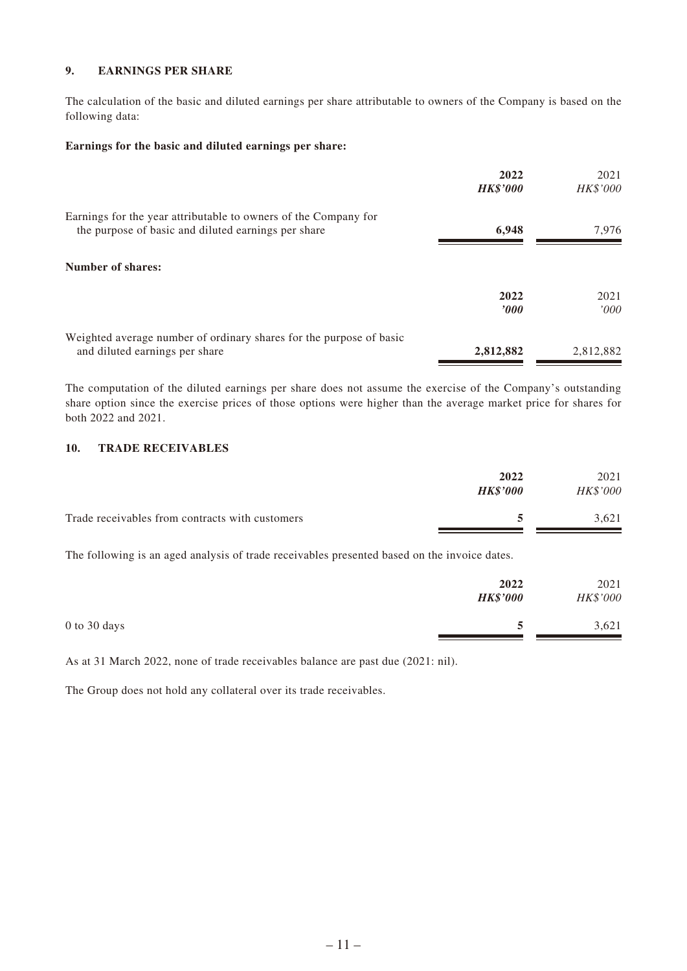### **9. EARNINGS PER SHARE**

The calculation of the basic and diluted earnings per share attributable to owners of the Company is based on the following data:

### **Earnings for the basic and diluted earnings per share:**

|                                                                                                                        | 2022<br><b>HK\$'000</b> | 2021<br>HK\$'000 |
|------------------------------------------------------------------------------------------------------------------------|-------------------------|------------------|
| Earnings for the year attributable to owners of the Company for<br>the purpose of basic and diluted earnings per share | 6,948                   | 7.976            |
| <b>Number of shares:</b>                                                                                               |                         |                  |
|                                                                                                                        | 2022<br>$\bm{v}$        | 2021<br>'000     |
| Weighted average number of ordinary shares for the purpose of basic<br>and diluted earnings per share                  | 2,812,882               | 2,812,882        |

The computation of the diluted earnings per share does not assume the exercise of the Company's outstanding share option since the exercise prices of those options were higher than the average market price for shares for both 2022 and 2021.

### **10. TRADE RECEIVABLES**

|                                                 | 2022<br><b>HK\$'000</b> | 2021<br><b>HK\$'000</b> |
|-------------------------------------------------|-------------------------|-------------------------|
| Trade receivables from contracts with customers |                         | 3.621                   |

The following is an aged analysis of trade receivables presented based on the invoice dates.

|                  | 2022<br><b>HK\$'000</b> | 2021<br>HK\$'000 |
|------------------|-------------------------|------------------|
| $0$ to $30$ days |                         | 3,621            |

As at 31 March 2022, none of trade receivables balance are past due (2021: nil).

The Group does not hold any collateral over its trade receivables.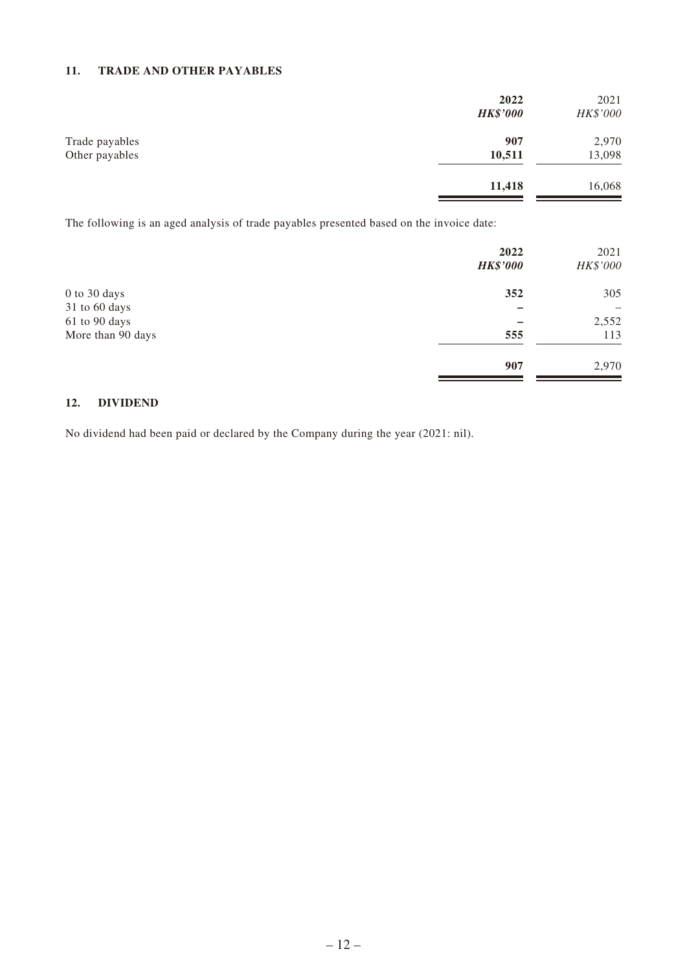## **11. TRADE AND OTHER PAYABLES**

|                                  | 2022<br><b>HK\$'000</b> | 2021<br>HK\$'000 |
|----------------------------------|-------------------------|------------------|
| Trade payables<br>Other payables | 907<br>10,511           | 2,970<br>13,098  |
|                                  | 11,418                  | 16,068           |

The following is an aged analysis of trade payables presented based on the invoice date:

|                   | 2022<br><b>HK\$'000</b> | 2021<br>HK\$'000         |
|-------------------|-------------------------|--------------------------|
| $0$ to $30$ days  | 352                     | 305                      |
| 31 to 60 days     |                         | $\overline{\phantom{0}}$ |
| 61 to 90 days     |                         | 2,552                    |
| More than 90 days | 555                     | 113                      |
|                   | 907                     | 2,970                    |

## **12. DIVIDEND**

No dividend had been paid or declared by the Company during the year (2021: nil).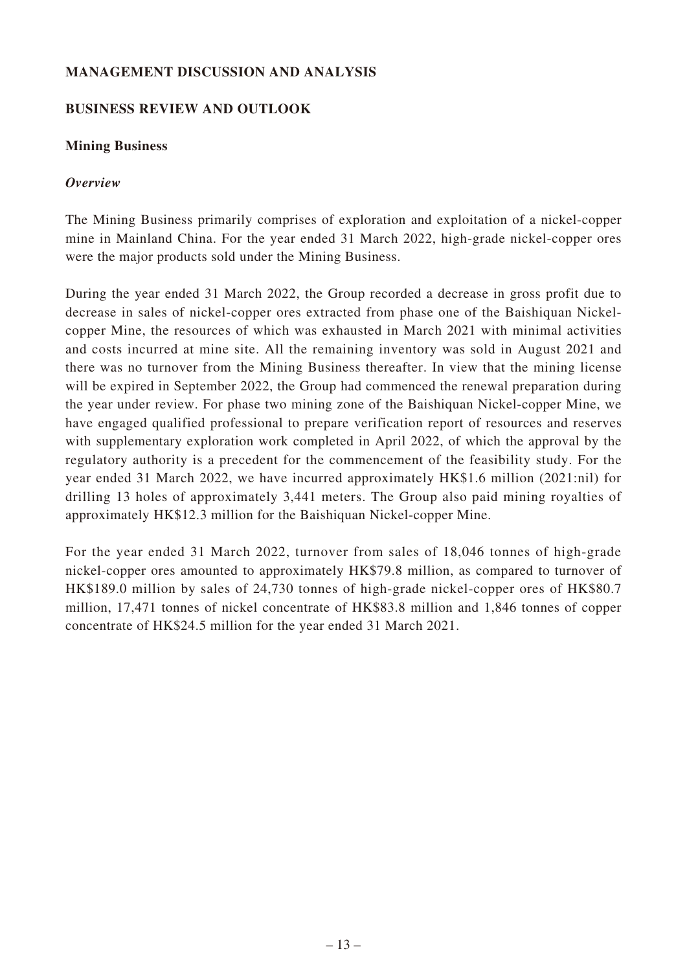# **MANAGEMENT DISCUSSION AND ANALYSIS**

# **BUSINESS REVIEW AND OUTLOOK**

# **Mining Business**

# *Overview*

The Mining Business primarily comprises of exploration and exploitation of a nickel-copper mine in Mainland China. For the year ended 31 March 2022, high-grade nickel-copper ores were the major products sold under the Mining Business.

During the year ended 31 March 2022, the Group recorded a decrease in gross profit due to decrease in sales of nickel-copper ores extracted from phase one of the Baishiquan Nickelcopper Mine, the resources of which was exhausted in March 2021 with minimal activities and costs incurred at mine site. All the remaining inventory was sold in August 2021 and there was no turnover from the Mining Business thereafter. In view that the mining license will be expired in September 2022, the Group had commenced the renewal preparation during the year under review. For phase two mining zone of the Baishiquan Nickel-copper Mine, we have engaged qualified professional to prepare verification report of resources and reserves with supplementary exploration work completed in April 2022, of which the approval by the regulatory authority is a precedent for the commencement of the feasibility study. For the year ended 31 March 2022, we have incurred approximately HK\$1.6 million (2021:nil) for drilling 13 holes of approximately 3,441 meters. The Group also paid mining royalties of approximately HK\$12.3 million for the Baishiquan Nickel-copper Mine.

For the year ended 31 March 2022, turnover from sales of 18,046 tonnes of high-grade nickel-copper ores amounted to approximately HK\$79.8 million, as compared to turnover of HK\$189.0 million by sales of 24,730 tonnes of high-grade nickel-copper ores of HK\$80.7 million, 17,471 tonnes of nickel concentrate of HK\$83.8 million and 1,846 tonnes of copper concentrate of HK\$24.5 million for the year ended 31 March 2021.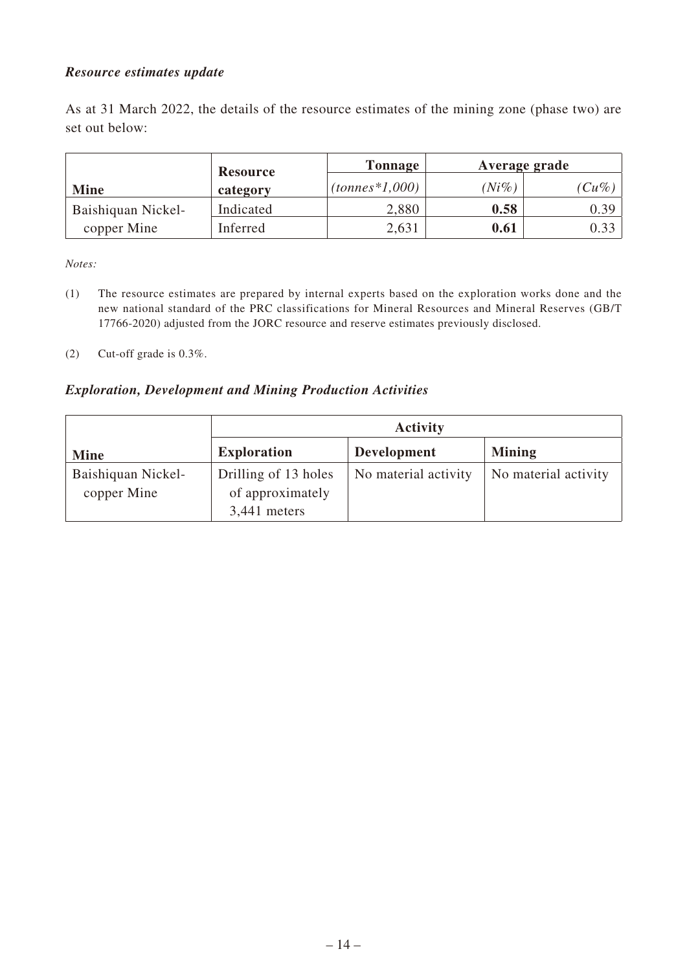# *Resource estimates update*

As at 31 March 2022, the details of the resource estimates of the mining zone (phase two) are set out below:

|                    | <b>Resource</b> | Tonnage            |          | Average grade |
|--------------------|-----------------|--------------------|----------|---------------|
| <b>Mine</b>        | category        | $(tonnes * 1,000)$ | $(Ni\%)$ | $(Cu\%)$      |
| Baishiquan Nickel- | Indicated       | 2,880              | 0.58     | 0.39          |
| copper Mine        | Inferred        | 2,631              | 0.61     | 0.33          |

*Notes:*

- (1) The resource estimates are prepared by internal experts based on the exploration works done and the new national standard of the PRC classifications for Mineral Resources and Mineral Reserves (GB/T 17766-2020) adjusted from the JORC resource and reserve estimates previously disclosed.
- (2) Cut-off grade is 0.3%.

## *Exploration, Development and Mining Production Activities*

|                    | <b>Activity</b>      |                      |                      |
|--------------------|----------------------|----------------------|----------------------|
| <b>Mine</b>        | <b>Exploration</b>   | <b>Development</b>   | <b>Mining</b>        |
| Baishiquan Nickel- | Drilling of 13 holes | No material activity | No material activity |
| copper Mine        | of approximately     |                      |                      |
|                    | 3,441 meters         |                      |                      |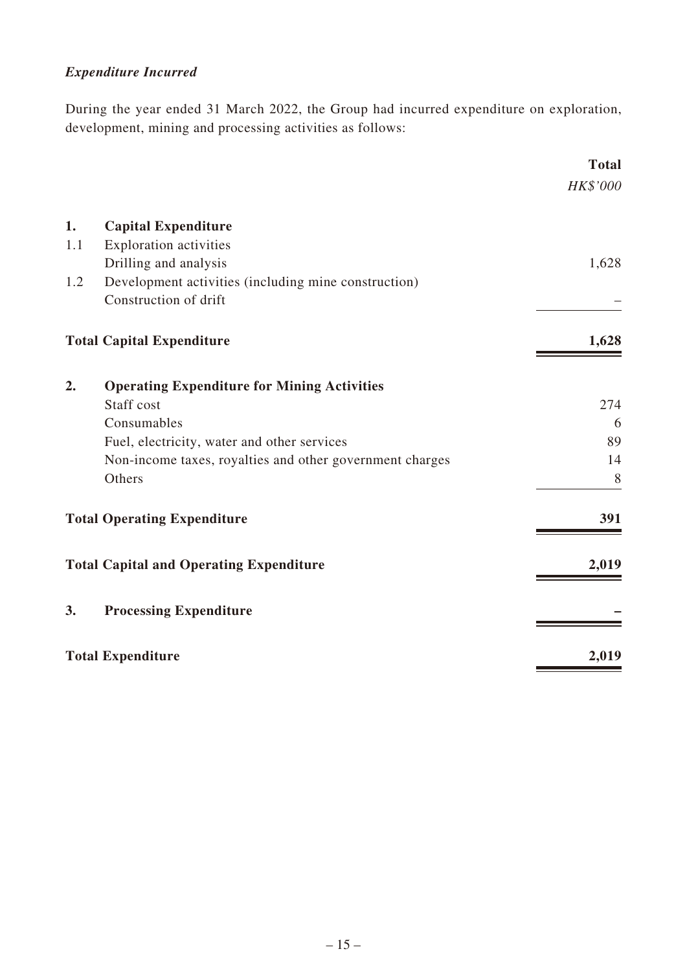# *Expenditure Incurred*

During the year ended 31 March 2022, the Group had incurred expenditure on exploration, development, mining and processing activities as follows:

|     |                                                          | <b>Total</b> |
|-----|----------------------------------------------------------|--------------|
|     |                                                          | HK\$'000     |
| 1.  | <b>Capital Expenditure</b>                               |              |
| 1.1 | <b>Exploration activities</b>                            |              |
|     | Drilling and analysis                                    | 1,628        |
| 1.2 | Development activities (including mine construction)     |              |
|     | Construction of drift                                    |              |
|     | <b>Total Capital Expenditure</b>                         | 1,628        |
| 2.  | <b>Operating Expenditure for Mining Activities</b>       |              |
|     | Staff cost                                               | 274          |
|     | Consumables                                              | 6            |
|     | Fuel, electricity, water and other services              | 89           |
|     | Non-income taxes, royalties and other government charges | 14           |
|     | Others                                                   | 8            |
|     | <b>Total Operating Expenditure</b>                       | 391          |
|     | <b>Total Capital and Operating Expenditure</b>           | 2,019        |
| 3.  | <b>Processing Expenditure</b>                            |              |
|     | <b>Total Expenditure</b>                                 | 2,019        |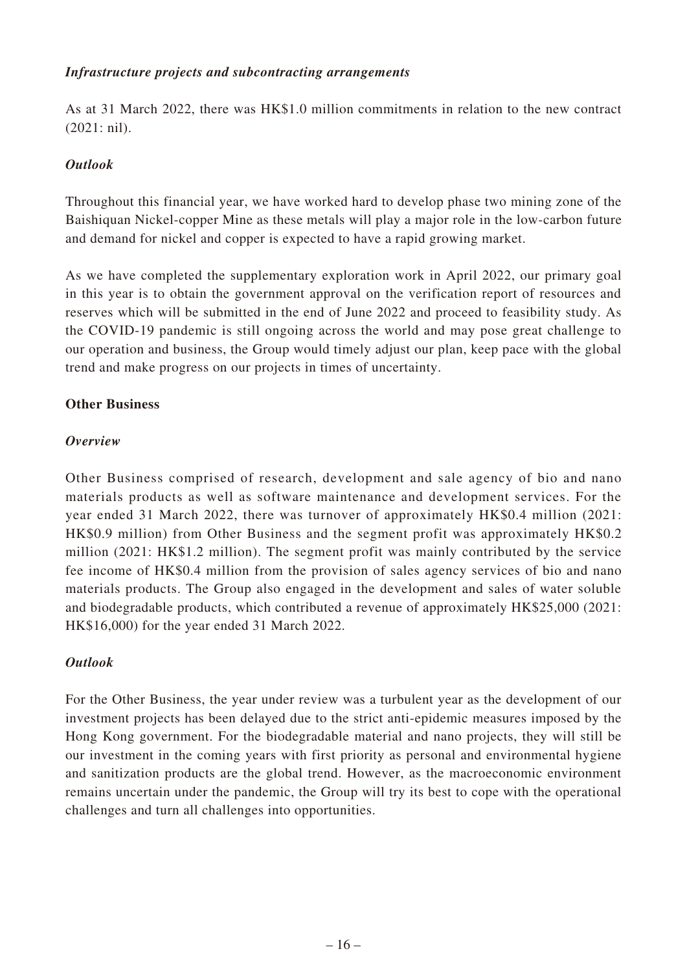# *Infrastructure projects and subcontracting arrangements*

As at 31 March 2022, there was HK\$1.0 million commitments in relation to the new contract (2021: nil).

# *Outlook*

Throughout this financial year, we have worked hard to develop phase two mining zone of the Baishiquan Nickel-copper Mine as these metals will play a major role in the low-carbon future and demand for nickel and copper is expected to have a rapid growing market.

As we have completed the supplementary exploration work in April 2022, our primary goal in this year is to obtain the government approval on the verification report of resources and reserves which will be submitted in the end of June 2022 and proceed to feasibility study. As the COVID-19 pandemic is still ongoing across the world and may pose great challenge to our operation and business, the Group would timely adjust our plan, keep pace with the global trend and make progress on our projects in times of uncertainty.

# **Other Business**

# *Overview*

Other Business comprised of research, development and sale agency of bio and nano materials products as well as software maintenance and development services. For the year ended 31 March 2022, there was turnover of approximately HK\$0.4 million (2021: HK\$0.9 million) from Other Business and the segment profit was approximately HK\$0.2 million (2021: HK\$1.2 million). The segment profit was mainly contributed by the service fee income of HK\$0.4 million from the provision of sales agency services of bio and nano materials products. The Group also engaged in the development and sales of water soluble and biodegradable products, which contributed a revenue of approximately HK\$25,000 (2021: HK\$16,000) for the year ended 31 March 2022.

# *Outlook*

For the Other Business, the year under review was a turbulent year as the development of our investment projects has been delayed due to the strict anti-epidemic measures imposed by the Hong Kong government. For the biodegradable material and nano projects, they will still be our investment in the coming years with first priority as personal and environmental hygiene and sanitization products are the global trend. However, as the macroeconomic environment remains uncertain under the pandemic, the Group will try its best to cope with the operational challenges and turn all challenges into opportunities.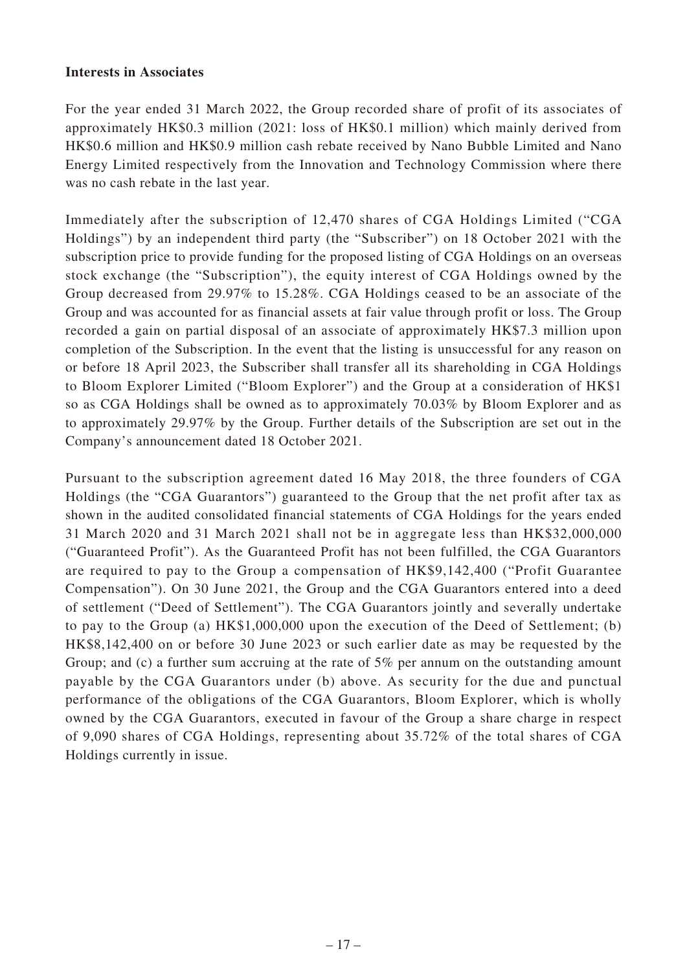## **Interests in Associates**

For the year ended 31 March 2022, the Group recorded share of profit of its associates of approximately HK\$0.3 million (2021: loss of HK\$0.1 million) which mainly derived from HK\$0.6 million and HK\$0.9 million cash rebate received by Nano Bubble Limited and Nano Energy Limited respectively from the Innovation and Technology Commission where there was no cash rebate in the last year.

Immediately after the subscription of 12,470 shares of CGA Holdings Limited ("CGA Holdings") by an independent third party (the "Subscriber") on 18 October 2021 with the subscription price to provide funding for the proposed listing of CGA Holdings on an overseas stock exchange (the "Subscription"), the equity interest of CGA Holdings owned by the Group decreased from 29.97% to 15.28%. CGA Holdings ceased to be an associate of the Group and was accounted for as financial assets at fair value through profit or loss. The Group recorded a gain on partial disposal of an associate of approximately HK\$7.3 million upon completion of the Subscription. In the event that the listing is unsuccessful for any reason on or before 18 April 2023, the Subscriber shall transfer all its shareholding in CGA Holdings to Bloom Explorer Limited ("Bloom Explorer") and the Group at a consideration of HK\$1 so as CGA Holdings shall be owned as to approximately 70.03% by Bloom Explorer and as to approximately 29.97% by the Group. Further details of the Subscription are set out in the Company's announcement dated 18 October 2021.

Pursuant to the subscription agreement dated 16 May 2018, the three founders of CGA Holdings (the "CGA Guarantors") guaranteed to the Group that the net profit after tax as shown in the audited consolidated financial statements of CGA Holdings for the years ended 31 March 2020 and 31 March 2021 shall not be in aggregate less than HK\$32,000,000 ("Guaranteed Profit"). As the Guaranteed Profit has not been fulfilled, the CGA Guarantors are required to pay to the Group a compensation of HK\$9,142,400 ("Profit Guarantee Compensation"). On 30 June 2021, the Group and the CGA Guarantors entered into a deed of settlement ("Deed of Settlement"). The CGA Guarantors jointly and severally undertake to pay to the Group (a) HK\$1,000,000 upon the execution of the Deed of Settlement; (b) HK\$8,142,400 on or before 30 June 2023 or such earlier date as may be requested by the Group; and (c) a further sum accruing at the rate of 5% per annum on the outstanding amount payable by the CGA Guarantors under (b) above. As security for the due and punctual performance of the obligations of the CGA Guarantors, Bloom Explorer, which is wholly owned by the CGA Guarantors, executed in favour of the Group a share charge in respect of 9,090 shares of CGA Holdings, representing about 35.72% of the total shares of CGA Holdings currently in issue.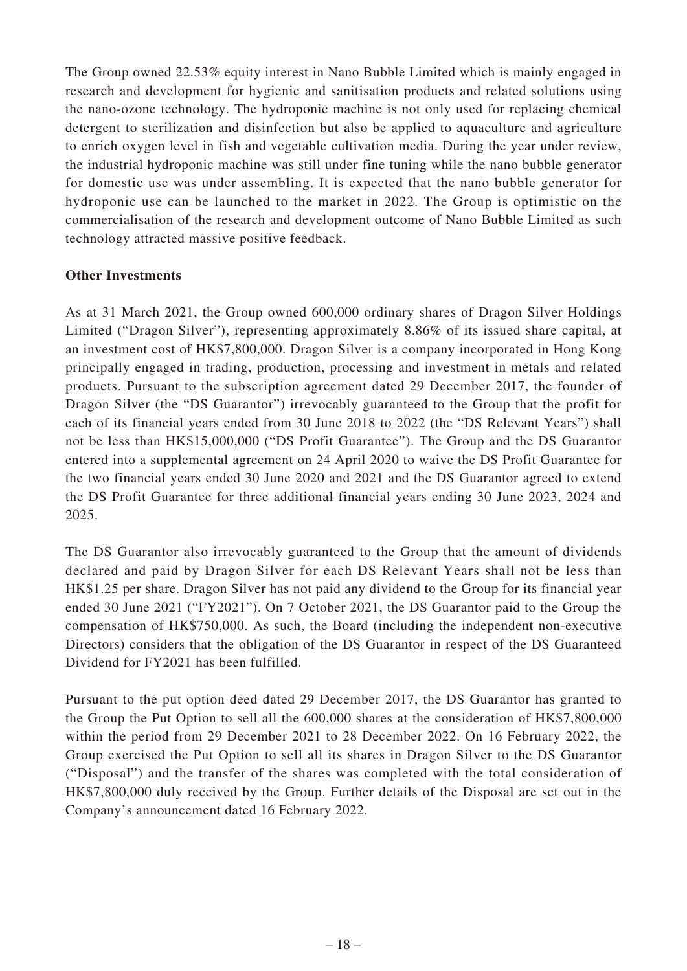The Group owned 22.53% equity interest in Nano Bubble Limited which is mainly engaged in research and development for hygienic and sanitisation products and related solutions using the nano-ozone technology. The hydroponic machine is not only used for replacing chemical detergent to sterilization and disinfection but also be applied to aquaculture and agriculture to enrich oxygen level in fish and vegetable cultivation media. During the year under review, the industrial hydroponic machine was still under fine tuning while the nano bubble generator for domestic use was under assembling. It is expected that the nano bubble generator for hydroponic use can be launched to the market in 2022. The Group is optimistic on the commercialisation of the research and development outcome of Nano Bubble Limited as such technology attracted massive positive feedback.

# **Other Investments**

As at 31 March 2021, the Group owned 600,000 ordinary shares of Dragon Silver Holdings Limited ("Dragon Silver"), representing approximately 8.86% of its issued share capital, at an investment cost of HK\$7,800,000. Dragon Silver is a company incorporated in Hong Kong principally engaged in trading, production, processing and investment in metals and related products. Pursuant to the subscription agreement dated 29 December 2017, the founder of Dragon Silver (the "DS Guarantor") irrevocably guaranteed to the Group that the profit for each of its financial years ended from 30 June 2018 to 2022 (the "DS Relevant Years") shall not be less than HK\$15,000,000 ("DS Profit Guarantee"). The Group and the DS Guarantor entered into a supplemental agreement on 24 April 2020 to waive the DS Profit Guarantee for the two financial years ended 30 June 2020 and 2021 and the DS Guarantor agreed to extend the DS Profit Guarantee for three additional financial years ending 30 June 2023, 2024 and 2025.

The DS Guarantor also irrevocably guaranteed to the Group that the amount of dividends declared and paid by Dragon Silver for each DS Relevant Years shall not be less than HK\$1.25 per share. Dragon Silver has not paid any dividend to the Group for its financial year ended 30 June 2021 ("FY2021"). On 7 October 2021, the DS Guarantor paid to the Group the compensation of HK\$750,000. As such, the Board (including the independent non-executive Directors) considers that the obligation of the DS Guarantor in respect of the DS Guaranteed Dividend for FY2021 has been fulfilled.

Pursuant to the put option deed dated 29 December 2017, the DS Guarantor has granted to the Group the Put Option to sell all the 600,000 shares at the consideration of HK\$7,800,000 within the period from 29 December 2021 to 28 December 2022. On 16 February 2022, the Group exercised the Put Option to sell all its shares in Dragon Silver to the DS Guarantor ("Disposal") and the transfer of the shares was completed with the total consideration of HK\$7,800,000 duly received by the Group. Further details of the Disposal are set out in the Company's announcement dated 16 February 2022.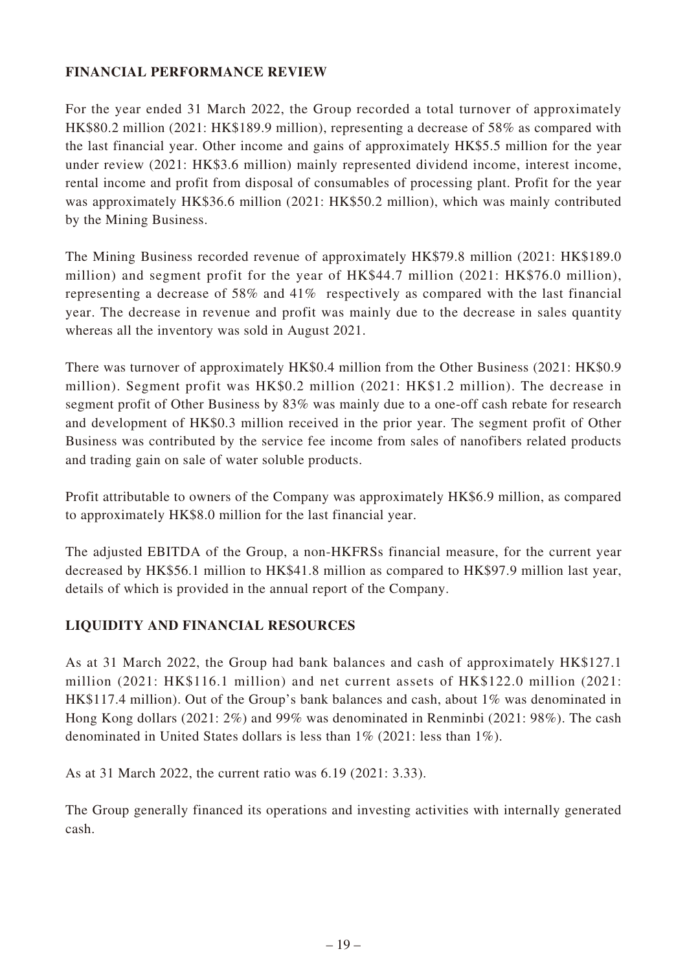# **FINANCIAL PERFORMANCE REVIEW**

For the year ended 31 March 2022, the Group recorded a total turnover of approximately HK\$80.2 million (2021: HK\$189.9 million), representing a decrease of 58% as compared with the last financial year. Other income and gains of approximately HK\$5.5 million for the year under review (2021: HK\$3.6 million) mainly represented dividend income, interest income, rental income and profit from disposal of consumables of processing plant. Profit for the year was approximately HK\$36.6 million (2021: HK\$50.2 million), which was mainly contributed by the Mining Business.

The Mining Business recorded revenue of approximately HK\$79.8 million (2021: HK\$189.0 million) and segment profit for the year of HK\$44.7 million (2021: HK\$76.0 million), representing a decrease of 58% and 41% respectively as compared with the last financial year. The decrease in revenue and profit was mainly due to the decrease in sales quantity whereas all the inventory was sold in August 2021.

There was turnover of approximately HK\$0.4 million from the Other Business (2021: HK\$0.9 million). Segment profit was HK\$0.2 million (2021: HK\$1.2 million). The decrease in segment profit of Other Business by 83% was mainly due to a one-off cash rebate for research and development of HK\$0.3 million received in the prior year. The segment profit of Other Business was contributed by the service fee income from sales of nanofibers related products and trading gain on sale of water soluble products.

Profit attributable to owners of the Company was approximately HK\$6.9 million, as compared to approximately HK\$8.0 million for the last financial year.

The adjusted EBITDA of the Group, a non-HKFRSs financial measure, for the current year decreased by HK\$56.1 million to HK\$41.8 million as compared to HK\$97.9 million last year, details of which is provided in the annual report of the Company.

# **LIQUIDITY AND FINANCIAL RESOURCES**

As at 31 March 2022, the Group had bank balances and cash of approximately HK\$127.1 million (2021: HK\$116.1 million) and net current assets of HK\$122.0 million (2021: HK\$117.4 million). Out of the Group's bank balances and cash, about 1% was denominated in Hong Kong dollars (2021: 2%) and 99% was denominated in Renminbi (2021: 98%). The cash denominated in United States dollars is less than 1% (2021: less than 1%).

As at 31 March 2022, the current ratio was 6.19 (2021: 3.33).

The Group generally financed its operations and investing activities with internally generated cash.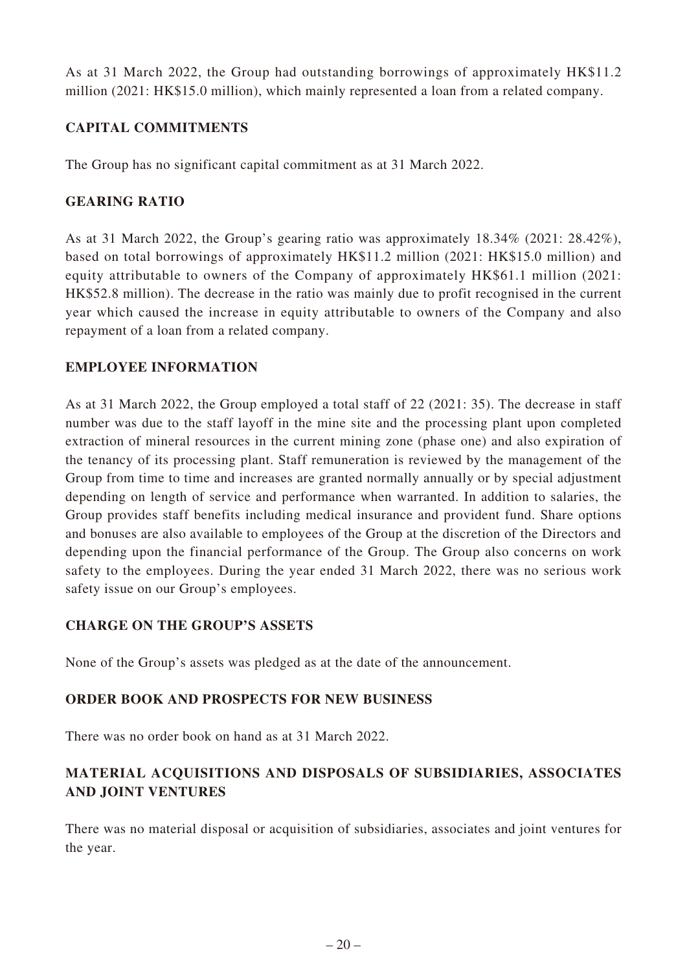As at 31 March 2022, the Group had outstanding borrowings of approximately HK\$11.2 million (2021: HK\$15.0 million), which mainly represented a loan from a related company.

# **CAPITAL COMMITMENTS**

The Group has no significant capital commitment as at 31 March 2022.

# **GEARING RATIO**

As at 31 March 2022, the Group's gearing ratio was approximately 18.34% (2021: 28.42%), based on total borrowings of approximately HK\$11.2 million (2021: HK\$15.0 million) and equity attributable to owners of the Company of approximately HK\$61.1 million (2021: HK\$52.8 million). The decrease in the ratio was mainly due to profit recognised in the current year which caused the increase in equity attributable to owners of the Company and also repayment of a loan from a related company.

# **EMPLOYEE INFORMATION**

As at 31 March 2022, the Group employed a total staff of 22 (2021: 35). The decrease in staff number was due to the staff layoff in the mine site and the processing plant upon completed extraction of mineral resources in the current mining zone (phase one) and also expiration of the tenancy of its processing plant. Staff remuneration is reviewed by the management of the Group from time to time and increases are granted normally annually or by special adjustment depending on length of service and performance when warranted. In addition to salaries, the Group provides staff benefits including medical insurance and provident fund. Share options and bonuses are also available to employees of the Group at the discretion of the Directors and depending upon the financial performance of the Group. The Group also concerns on work safety to the employees. During the year ended 31 March 2022, there was no serious work safety issue on our Group's employees.

# **CHARGE ON THE GROUP'S ASSETS**

None of the Group's assets was pledged as at the date of the announcement.

# **ORDER BOOK AND PROSPECTS FOR NEW BUSINESS**

There was no order book on hand as at 31 March 2022.

# **MATERIAL ACQUISITIONS AND DISPOSALS OF SUBSIDIARIES, ASSOCIATES AND JOINT VENTURES**

There was no material disposal or acquisition of subsidiaries, associates and joint ventures for the year.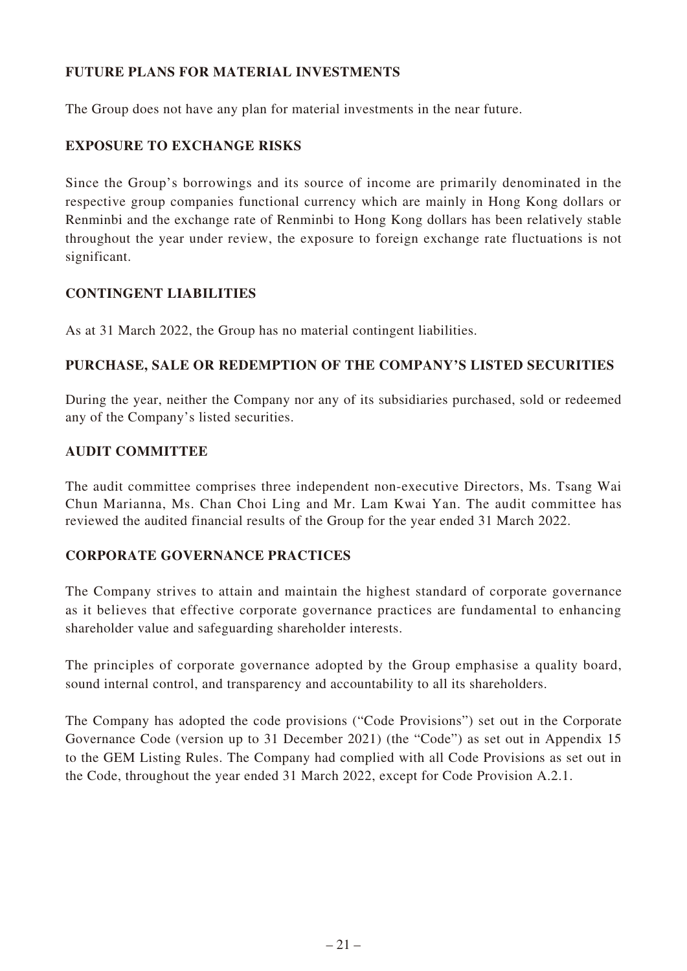# **FUTURE PLANS FOR MATERIAL INVESTMENTS**

The Group does not have any plan for material investments in the near future.

# **EXPOSURE TO EXCHANGE RISKS**

Since the Group's borrowings and its source of income are primarily denominated in the respective group companies functional currency which are mainly in Hong Kong dollars or Renminbi and the exchange rate of Renminbi to Hong Kong dollars has been relatively stable throughout the year under review, the exposure to foreign exchange rate fluctuations is not significant.

# **CONTINGENT LIABILITIES**

As at 31 March 2022, the Group has no material contingent liabilities.

# **PURCHASE, SALE OR REDEMPTION OF THE COMPANY'S LISTED SECURITIES**

During the year, neither the Company nor any of its subsidiaries purchased, sold or redeemed any of the Company's listed securities.

# **AUDIT COMMITTEE**

The audit committee comprises three independent non-executive Directors, Ms. Tsang Wai Chun Marianna, Ms. Chan Choi Ling and Mr. Lam Kwai Yan. The audit committee has reviewed the audited financial results of the Group for the year ended 31 March 2022.

# **CORPORATE GOVERNANCE PRACTICES**

The Company strives to attain and maintain the highest standard of corporate governance as it believes that effective corporate governance practices are fundamental to enhancing shareholder value and safeguarding shareholder interests.

The principles of corporate governance adopted by the Group emphasise a quality board, sound internal control, and transparency and accountability to all its shareholders.

The Company has adopted the code provisions ("Code Provisions") set out in the Corporate Governance Code (version up to 31 December 2021) (the "Code") as set out in Appendix 15 to the GEM Listing Rules. The Company had complied with all Code Provisions as set out in the Code, throughout the year ended 31 March 2022, except for Code Provision A.2.1.